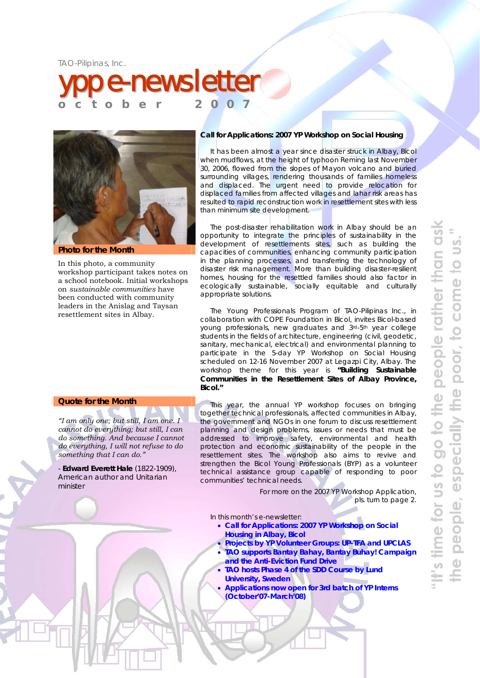



**Photo for the Month** 

In this photo, a community workshop participant takes notes on a school notebook. Initial workshops on *sustainable communities* have been conducted with community leaders in the Anislag and Taysan resettlement sites in Albay.

### **Call for Applications: 2007 YP Workshop on Social Housing**

It has been almost a year since disaster struck in Albay, Bicol when mudflows, at the height of typhoon *Reming* last November 30, 2006, flowed from the slopes of Mayon volcano and buried surrounding villages, rendering thousands of families homeless and displaced. The urgent need to provide relocation for displaced families from affected villages and lahar risk areas has resulted to rapid reconstruction work in resettlement sites with less than minimum site development.

The post-disaster rehabilitation work in Albay should be an opportunity to integrate the principles of sustainability in the development of resettlements sites, such as building the capacities of communities, enhancing community participation in the planning processes, and transferring the technology of disaster risk management. More than building disaster-resilient homes, housing for the resettled families should also factor in ecologically sustainable, socially equitable and culturally appropriate solutions.

The Young Professionals Program of TAO-Pilipinas Inc., in collaboration with COPE Foundation in Bicol, invites Bicol-based young professionals, new graduates and 3rd-5th year college students in the fields of architecture, engineering (civil, geodetic, sanitary, mechanical, electrical) and environmental planning to participate in the 5-day YP Workshop on Social Housing scheduled on 12-16 November 2007 at Legazpi City, Albay. The workshop theme for this year is **"Building Sustainable Communities in the Resettlement Sites of Albay Province, Bicol."**

This year, the annual YP workshop focuses on bringing together technical professionals, affected communities in Albay, the government and NGOs in one forum to discuss resettlement planning and design problems, issues or needs that must be addressed to improve safety, environmental and health protection and economic sustainability of the people in the resettlement sites. The workshop also aims to revive and strengthen the Bicol Young Professionals (BYP) as a volunteer technical assistance group capable of responding to poor communities' technical needs.

> *For more on the 2007 YP Workshop Application, pls. turn to page 2.*

In this month's e-newsletter:

- **Call for Applications: 2007 YP Workshop on Social Housing in Albay, Bicol**
- **Projects by YP Volunteer Groups: UP-TFA and UPCLAS**
- **TAO supports Bantay Bahay, Bantay Buhay! Campaign and the Anti-Eviction Fund Drive**
- **TAO hosts Phase 4 of the SDD Course by Lund University, Sweden**
- **Applications now open for 3rd batch of YP Interns (October'07-March'08)**

### **Quote for the Month**

*"I am only one; but still, I am one. I cannot do everything; but still, I can do something. And because I cannot do everything, I will not refuse to do something that I can do."* 

- **Edward Everett Hale** (1822-1909), American author and Unitarian minister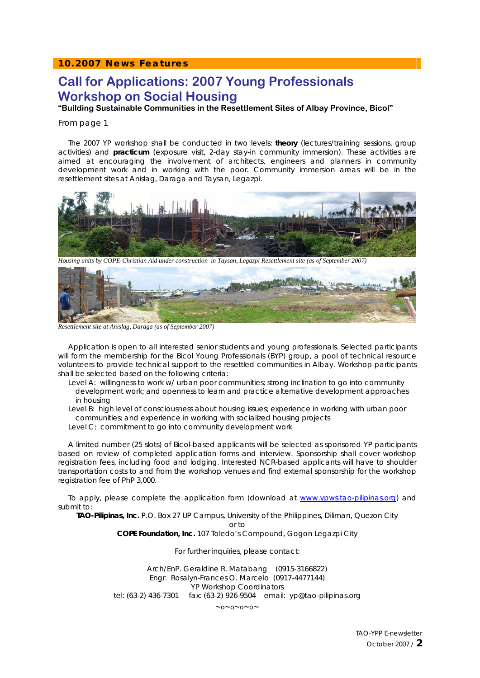### **10.2007 News Features**

# **Call for Applications: 2007 Young Professionals Workshop on Social Housing**

**"Building Sustainable Communities in the Resettlement Sites of Albay Province, Bicol"** 

#### From page 1

The 2007 YP workshop shall be conducted in two levels: **theory** (lectures/training sessions, group activities) and **practicum** (exposure visit, 2-day stay-in community immersion). These activities are aimed at encouraging the involvement of architects, engineers and planners in community development work and in working with the poor. Community immersion areas will be in the resettlement sites at Anislag, Daraga and Taysan, Legazpi.



*Housing units by COPE-Christian Aid under construction in Taysan, Legazpi Resettlement site (as of September 2007)* 



*Resettlement site at Anislag, Daraga (as of September 2007)* 

Application is open to all interested senior students and young professionals. Selected participants will form the membership for the Bicol Young Professionals (BYP) group, a pool of technical resource volunteers to provide technical support to the resettled communities in Albay. Workshop participants shall be selected based on the following criteria:

*Level A: willingness to work w/ urban poor communities; strong inclination to go into community development work; and openness to learn and practice alternative development approaches in housing* 

*Level B: high level of consciousness about housing issues; experience in working with urban poor communities; and experience in working with socialized housing projects Level C: commitment to go into community development work* 

A limited number (25 slots) of Bicol-based applicants will be selected as sponsored YP participants based on review of completed application forms and interview. Sponsorship shall cover workshop registration fees, including food and lodging. Interested NCR-based applicants will have to shoulder transportation costs to and from the workshop venues and find external sponsorship for the workshop registration fee of PhP 3,000.

To apply, please complete the application form (download at www.ypws.tao-pilipinas.org) and submit to:

**TAO-Pilipinas, Inc.** P.O. Box 27 UP Campus, University of the Philippines, Diliman, Quezon City or to

**COPE Foundation, Inc.** 107 Toledo's Compound, Gogon Legazpi City

For further inquiries, please contact:

Arch/EnP. Geraldine R. Matabang(0915-3166822) Engr. Rosalyn-Frances O. Marcelo (0917-4477144) YP Workshop Coordinators tel: (63-2) 436-7301 fax: (63-2) 926-9504 email: yp@tao-pilipinas.org

∼o∼o∼o∼o∼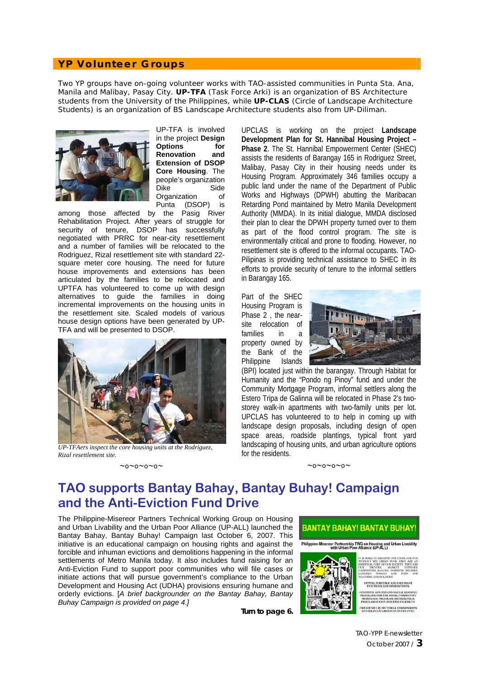### **YP Volunteer Groups**

Two YP groups have on-going volunteer works with TAO-assisted communities in Punta Sta. Ana, Manila and Malibay, Pasay City. **UP-TFA** (Task Force Arki) is an organization of BS Architecture students from the University of the Philippines, while **UP-CLAS** (Circle of Landscape Architecture Students) is an organization of BS Landscape Architecture students also from UP-Diliman.



UP-TFA is involved in the project **Design Options for Renovation and Extension of DSOP Core Housing**. The people's organization Dike Side Organization of Punta (DSOP) is

among those affected by the Pasig River Rehabilitation Project. After years of struggle for security of tenure, DSOP has successfully negotiated with PRRC for near-city resettlement and a number of families will be relocated to the Rodriguez, Rizal resettlement site with standard 22 square meter core housing. The need for future house improvements and extensions has been articulated by the families to be relocated and UPTFA has volunteered to come up with design alternatives to guide the families in doing incremental improvements on the housing units in the resettlement site. Scaled models of various house design options have been generated by UP-TFA and will be presented to DSOP.



*UP-TFAers inspect the core housing units at the Rodriguez, Rizal resettlement site.* 

#### ∼o∼o∼o∼o∼

UPCLAS is working on the project **Landscape Development Plan for St. Hannibal Housing Project – Phase 2**. The St. Hannibal Empowerment Center (SHEC) assists the residents of Barangay 165 in Rodriguez Street, Malibay, Pasay City in their housing needs under its Housing Program. Approximately 346 families occupy a public land under the name of the Department of Public Works and Highways (DPWH) abutting the Maribacan Retarding Pond maintained by Metro Manila Development Authority (MMDA). In its initial dialogue, MMDA disclosed their plan to clear the DPWH property turned over to them as part of the flood control program. The site is environmentally critical and prone to flooding. However, no resettlement site is offered to the informal occupants. TAO-Pilipinas is providing technical assistance to SHEC in its efforts to provide security of tenure to the informal settlers in Barangay 165.

Part of the SHEC Housing Program is Phase 2, the nearsite relocation of families in a property owned by the Bank of the Philippine Islands



(BPI) located just within the barangay. Through Habitat for Humanity and the "Pondo ng Pinoy" fund and under the Community Mortgage Program, informal settlers along the Estero Tripa de Galinna will be relocated in Phase 2's twostorey walk-in apartments with two-family units per lot. UPCLAS has volunteered to to help in coming up with landscape design proposals, including design of open space areas, roadside plantings, typical front yard landscaping of housing units, and urban agriculture options for the residents.

∼o∼o∼o∼o∼

# **TAO supports Bantay Bahay, Bantay Buhay! Campaign and the Anti-Eviction Fund Drive**

The Philippine-Misereor Partners Technical Working Group on Housing and Urban Livability and the Urban Poor Alliance (UP-ALL) launched the Bantay Bahay, Bantay Buhay! Campaign last October 6, 2007. This initiative is an educational campaign on housing rights and against the forcible and inhuman evictions and demolitions happening in the informal settlements of Metro Manila today. It also includes fund raising for an Anti-Eviction Fund to support poor communities who will file cases or initiate actions that will pursue government's compliance to the Urban Development and Housing Act (UDHA) provisions ensuring humane and orderly evictions. [*A brief backgrounder on the Bantay Bahay, Bantay Buhay Campaign is provided on page 4.]*

**Turn to page 6.** 



**BANTAY BAHAY! BANTAY BUHAY** 

.<br>GINUE AND EXPAND SOCIAL HOGRAMS FOR THE POOR: COMM

MORTGAGE PROGRAM, PRESIDENTIAL<br>PROCLAMATIONS AND RESETTLEMEN .<br>CREATE MULTI-SECTORAL COMMISSION<br>ON URBAN LIVABILITY IN EVERY CITY.

TAO-YPP E-newsletter October 2007 / **3**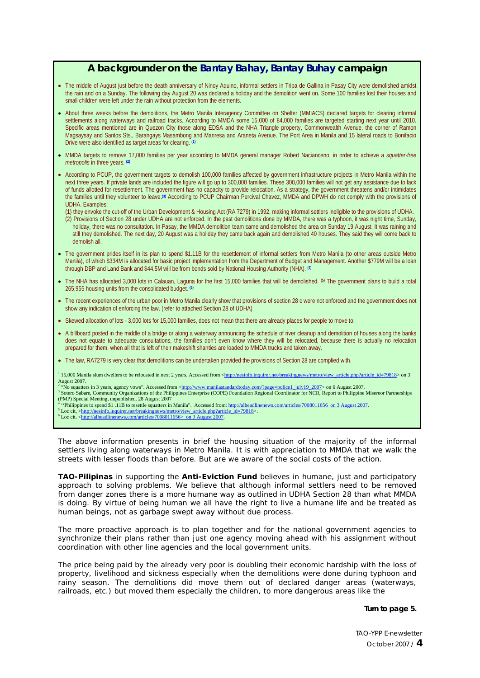# **A backgrounder on the Bantay Bahay, Bantay Buhay campaign**

- The middle of August just before the death anniversary of Ninoy Aquino, informal settlers in Tripa de Gallina in Pasay City were demolished amidst the rain and on a Sunday. The following day August 20 was declared a holiday and the demolition went on. Some 100 families lost their houses and small children were left under the rain without protection from the elements.
- About three weeks before the demolitions, the Metro Manila Interagency Committee on Shelter (MMIACS) declared targets for clearing informal settlements along waterways and railroad tracks. According to MMDA some 15,000 of 84,000 families are targeted starting next year until 2010. Specific areas mentioned are in Quezon City those along EDSA and the NHA Triangle property, Commonwealth Avenue, the corner of Ramon Magsaysay and Santos Sts., Barangays Masambong and Manresa and Araneta Avenue. The Port Area in Manila and 15 lateral roads to Bonifacio Drive were also identified as target areas for clearing. **(1)**
- MMDA targets to remove 17,000 families per year according to MMDA general manager Robert Nacianceno, in order to achieve a *squatter-free metropolis* in three years. **(2)**
- According to PCUP, the government targets to demolish 100,000 families affected by government infrastructure projects in Metro Manila within the next three years. If private lands are included the figure will go up to 300,000 families. These 300,000 families will not get any assistance due to lack of funds allotted for resettlement. The government has no capacity to provide relocation. As a strategy, the government threatens and/or intimidates the families until they volunteer to leave.<sup>(3)</sup> According to PCUP Chairman Percival Chavez, MMDA and DPWH do not comply with the provisions of UDHA. Examples:
	- (1) they envoke the cut-off of the Urban Development & Housing Act (RA 7279) in 1992, making informal settlers ineligible to the provisions of UDHA. (2) Provisions of Section 28 under UDHA are not enforced. In the past demolitions done by MMDA, there was a typhoon, it was night time, Sunday, holiday, there was no consultation. In Pasay, the MMDA demolition team came and demolished the area on Sunday 19 August. It was raining and
	- still they demolished. The next day, 20 August was a holiday they came back again and demolished 40 houses. They said they will come back to demolish all.
- The government prides itself in its plan to spend \$1.11B for the resettlement of informal settlers from Metro Manila (to other areas outside Metro Manila), of which \$334M is allocated for basic project implementation from the Department of Budget and Management. Another \$779M will be a loan through DBP and Land Bank and \$44.5M will be from bonds sold by National Housing Authority (NHA). **(4)**
- The NHA has allocated 3,000 lots in Calauan, Laguna for the first 15,000 families that will be demolished. **(5)** The government plans to build a total 265,955 housing units from the consolidated budget. **(6)**
- The recent experiences of the urban poor in Metro Manila clearly show that provisions of section 28 c were not enforced and the government does not show any indication of enforcing the law. (refer to attached Section 28 of UDHA)
- Skewed allocation of lots 3,000 lots for 15,000 families, does not mean that there are already places for people to move to.
- A billboard posted in the middle of a bridge or along a waterway announcing the schedule of river cleanup and demolition of houses along the banks does not equate to adequate consultations, the families don't even know where they will be relocated, because there is actually no relocation prepared for them, when all that is left of their makeshift shanties are loaded to MMDA trucks and taken away.
- The law, RA7279 is very clear that demolitions can be undertaken provided the provisions of Section 28 are complied with.
- <sup>1</sup> 15,000 Manila slum dwellers to be relocated in next 2 years. Accessed from <http://nesinfo.inquirer.net/breakingnews/metro/view\_article\_php?article\_id=79818> on 3 August 2007.

"No squatters in 3 years, agency vows". Accessed from <http://www.manilastandardtoday.com/?page=police1\_july19\_2007> on 6 August 2007. Sotero Sabare, Community Organizations of the Philippines Enterprise (COPE) Foundation Regional Coordinator for NCR, Report to Philippine Misereor Partnerships

- (PMP) Special Meeting, unpublished. 28 August 2007<br><sup>4</sup> ''Philippines to spend \$1 .11B to resettle squatters in Manila". Accessed from: http://alheadlinenews.com/articles/7008011656 on 3 August 2007.
- <sup>3</sup> Loc cit, <http://nesinfo.inquirer.net/breakingnews/metro/view\_article.php?article\_id=79818>. 6 Loc cit. <http://alheadlinenews.com/articles/7008011656> on 3 August 2007.

The above information presents in brief the housing situation of the majority of the informal settlers living along waterways in Metro Manila. It is with appreciation to MMDA that we walk the streets with lesser floods than before. But are we aware of the social costs of the action.

**TAO-Pilipinas** in supporting the **Anti-Eviction Fund** believes in humane, just and participatory approach to solving problems. We believe that although informal settlers need to be removed from danger zones there is a more humane way as outlined in UDHA Section 28 than what MMDA is doing. By virtue of being human we all have the right to live a humane life and be treated as human beings, not as garbage swept away without due process.

The more proactive approach is to plan together and for the national government agencies to synchronize their plans rather than just one agency moving ahead with his assignment without coordination with other line agencies and the local government units.

The price being paid by the already very poor is doubling their economic hardship with the loss of property, livelihood and sickness especially when the demolitions were done during typhoon and rainy season. The demolitions did move them out of declared danger areas (waterways, railroads, etc.) but moved them especially the children, to more dangerous areas like the

#### **Turn to page 5.**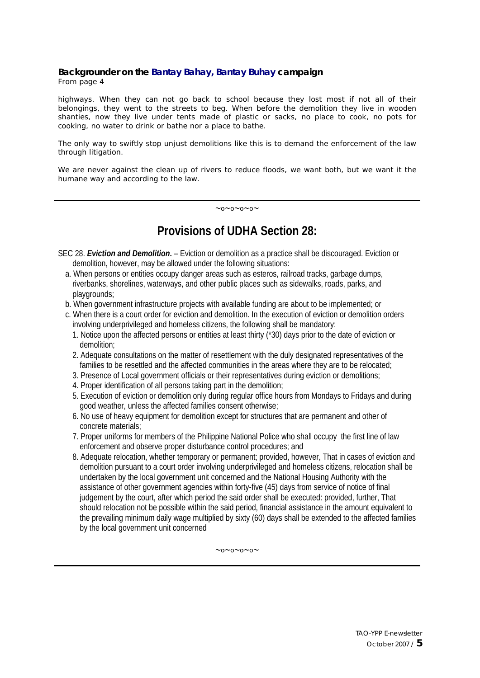#### **Backgrounder on the Bantay Bahay, Bantay Buhay campaign** From page 4

highways. When they can not go back to school because they lost most if not all of their belongings, they went to the streets to beg. When before the demolition they live in wooden shanties, now they live under tents made of plastic or sacks, no place to cook, no pots for cooking, no water to drink or bathe nor a place to bathe.

The only way to swiftly stop unjust demolitions like this is to demand the enforcement of the law through litigation.

We are never against the clean up of rivers to reduce floods, we want both, but we want it the humane way and according to the law.

∼o∼o∼o∼o∼

# **Provisions of UDHA Section 28:**

SEC 28. *Eviction and Demolition***.** – Eviction or demolition as a practice shall be discouraged. Eviction or demolition, however, may be allowed under the following situations:

- a. When persons or entities occupy danger areas such as esteros, railroad tracks, garbage dumps, riverbanks, shorelines, waterways, and other public places such as sidewalks, roads, parks, and playgrounds;
- b. When government infrastructure projects with available funding are about to be implemented; or
- c. When there is a court order for eviction and demolition. In the execution of eviction or demolition orders involving underprivileged and homeless citizens, the following shall be mandatory:
	- 1. Notice upon the affected persons or entities at least thirty (\*30) days prior to the date of eviction or demolition;
	- 2. Adequate consultations on the matter of resettlement with the duly designated representatives of the families to be resettled and the affected communities in the areas where they are to be relocated;
	- 3. Presence of Local government officials or their representatives during eviction or demolitions;
	- 4. Proper identification of all persons taking part in the demolition;
	- 5. Execution of eviction or demolition only during regular office hours from Mondays to Fridays and during good weather, unless the affected families consent otherwise;
	- 6. No use of heavy equipment for demolition except for structures that are permanent and other of concrete materials;
	- 7. Proper uniforms for members of the Philippine National Police who shall occupy the first line of law enforcement and observe proper disturbance control procedures; and
	- 8. Adequate relocation, whether temporary or permanent; provided, however, That in cases of eviction and demolition pursuant to a court order involving underprivileged and homeless citizens, relocation shall be undertaken by the local government unit concerned and the National Housing Authority with the assistance of other government agencies within forty-five (45) days from service of notice of final judgement by the court, after which period the said order shall be executed: provided, further, That should relocation not be possible within the said period, financial assistance in the amount equivalent to the prevailing minimum daily wage multiplied by sixty (60) days shall be extended to the affected families by the local government unit concerned

∼o∼o∼o∼o∼